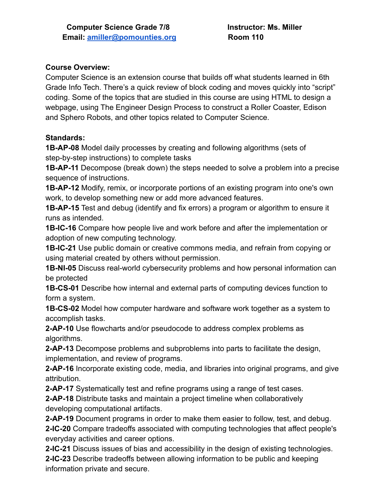### **Course Overview:**

Computer Science is an extension course that builds off what students learned in 6th Grade Info Tech. There's a quick review of block coding and moves quickly into "script" coding. Some of the topics that are studied in this course are using HTML to design a webpage, using The Engineer Design Process to construct a Roller Coaster, Edison and Sphero Robots, and other topics related to Computer Science.

## **Standards:**

**1B-AP-08** Model daily processes by creating and following algorithms (sets of step-by-step instructions) to complete tasks

**1B-AP-11** Decompose (break down) the steps needed to solve a problem into a precise sequence of instructions.

**1B-AP-12** Modify, remix, or incorporate portions of an existing program into one's own work, to develop something new or add more advanced features.

**1B-AP-15** Test and debug (identify and fix errors) a program or algorithm to ensure it runs as intended.

**1B-IC-16** Compare how people live and work before and after the implementation or adoption of new computing technology.

**1B-IC-21** Use public domain or creative commons media, and refrain from copying or using material created by others without permission.

**1B-NI-05** Discuss real-world cybersecurity problems and how personal information can be protected

**1B-CS-01** Describe how internal and external parts of computing devices function to form a system.

**1B-CS-02** Model how computer hardware and software work together as a system to accomplish tasks.

**2-AP-10** Use flowcharts and/or pseudocode to address complex problems as algorithms.

**2-AP-13** Decompose problems and subproblems into parts to facilitate the design, implementation, and review of programs.

**2-AP-16** Incorporate existing code, media, and libraries into original programs, and give attribution.

**2-AP-17** Systematically test and refine programs using a range of test cases.

**2-AP-18** Distribute tasks and maintain a project timeline when collaboratively developing computational artifacts.

**2-AP-19** Document programs in order to make them easier to follow, test, and debug. **2-IC-20** Compare tradeoffs associated with computing technologies that affect people's everyday activities and career options.

**2-IC-21** Discuss issues of bias and accessibility in the design of existing technologies. **2-IC-23** Describe tradeoffs between allowing information to be public and keeping information private and secure.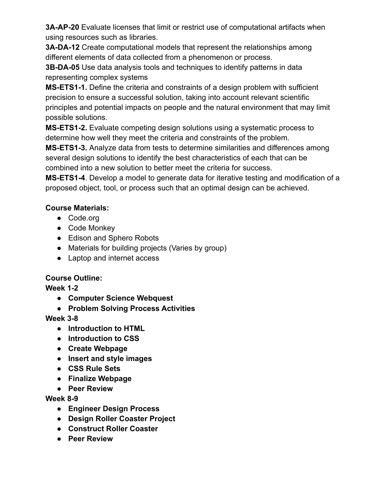**3A-AP-20** Evaluate licenses that limit or restrict use of computational artifacts when using resources such as libraries.

**3A-DA-12** Create computational models that represent the relationships among different elements of data collected from a phenomenon or process.

**3B-DA-05** Use data analysis tools and techniques to identify patterns in data representing complex systems

**MS-ETS1-1.** Define the criteria and constraints of a design problem with sufficient precision to ensure a successful solution, taking into account relevant scientific principles and potential impacts on people and the natural environment that may limit possible solutions.

**MS-ETS1-2.** Evaluate competing design solutions using a systematic process to determine how well they meet the criteria and constraints of the problem.

**MS-ETS1-3.** Analyze data from tests to determine similarities and differences among several design solutions to identify the best characteristics of each that can be combined into a new solution to better meet the criteria for success.

**MS-ETS1-4**. Develop a model to generate data for iterative testing and modification of a proposed object, tool, or process such that an optimal design can be achieved.

# **Course Materials:**

- Code.org
- Code Monkey
- Edison and Sphero Robots
- Materials for building projects (Varies by group)
- Laptop and internet access

# **Course Outline:**

**Week 1-2**

- **● Computer Science Webquest**
- **● Problem Solving Process Activities**

# **Week 3-8**

- **● Introduction to HTML**
- **● Introduction to CSS**
- **● Create Webpage**
- **● Insert and style images**
- **● CSS Rule Sets**
- **● Finalize Webpage**
- **● Peer Review**

# **Week 8-9**

- **● Engineer Design Process**
- **● Design Roller Coaster Project**
- **● Construct Roller Coaster**
- **● Peer Review**